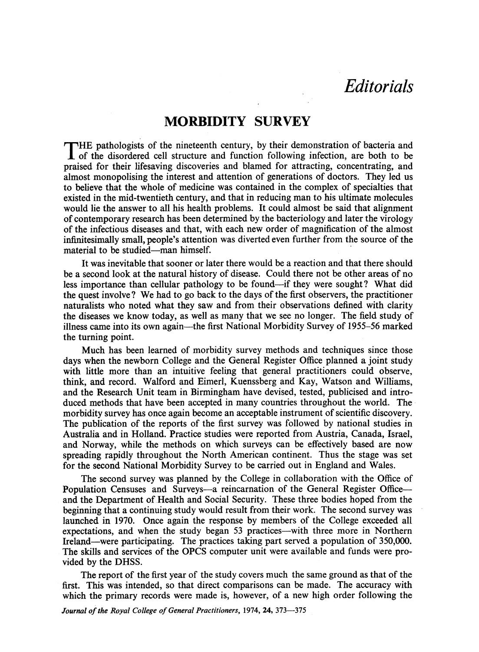## **Editorials**

## MORBIDITY SURVEY

THE pathologists of the nineteenth century, by their demonstration of bacteria and of the disordered cell structure and function following infection, are both to be praised for their lifesaving discoveries and blamed for attracting, concentrating, and almost monopolising the interest and attention of generations of doctors. They led us to believe that the whole of medicine was contained in the complex of specialties that existed in the mid-twentieth century, and that in reducing man to his ultimate molecules would lie the answer to all his health problems. It could almost be said that alignment of contemporary research has been determined by the bacteriology and later the virology of the infectious diseases and that, with each new order of magnification of the almost infinitesimally small, people's attention was diverted even further from the source of the material to be studied—man himself.

It was inevitable that sooner or later there would be a reaction and that there should be a second look at the natural history of disease. Could there not be other areas of no less importance than cellular pathology to be found—if they were sought? What did the quest involve? We had to go back to the days of the first observers, the practitioner naturalists who noted what they saw and from their observations defined with clarity the diseases we know today, as well as many that we see no longer. The field study of illness came into its own again—the first National Morbidity Survey of 1955–56 marked the turning point.

Much has been learned of morbidity survey methods and techniques since those days when the newborn College and the General Register Office planned a joint study with little more than an intuitive feeling that general practitioners could observe, think, and record. Walford and Eimerl, Kuenssberg and Kay, Watson and Williams, and the Research Unit team in Birmingham have devised, tested, publicised and introduced methods that have been accepted in many countries throughout the world. The morbidity survey has once again become an acceptable instrument of scientific discovery. The publication of the reports of the first survey was followed by national studies in Australia and in Holland. Practice studies were reported from Austria, Canada, Israel, and Norway, while the methods on which surveys can be effectively based are now spreading rapidly throughout the North American continent. Thus the stage was set for the second National Morbidity Survey to be carried out in England and Wales.

The second survey was planned by the College in collaboration with the Office of Population Censuses and Surveys-a reincarnation of the General Register Officeand the Department of Health and Social Security. These three bodies hoped from the beginning that <sup>a</sup> continuing study would result from their work. The second survey was launched in 1970. Once again the response by members of the College exceeded all expectations, and when the study began 53 practices—with three more in Northern Ireland.were participating. The practices taking part served a population of 350,000. The skills and services of the OPCS computer unit were available and funds were provided by the DHSS.

The report of the first year of the study covers much the same ground as that of the first. This was intended, so that direct comparisons can be made. The accuracy with which the primary records were made is, however, of <sup>a</sup> new high order following the